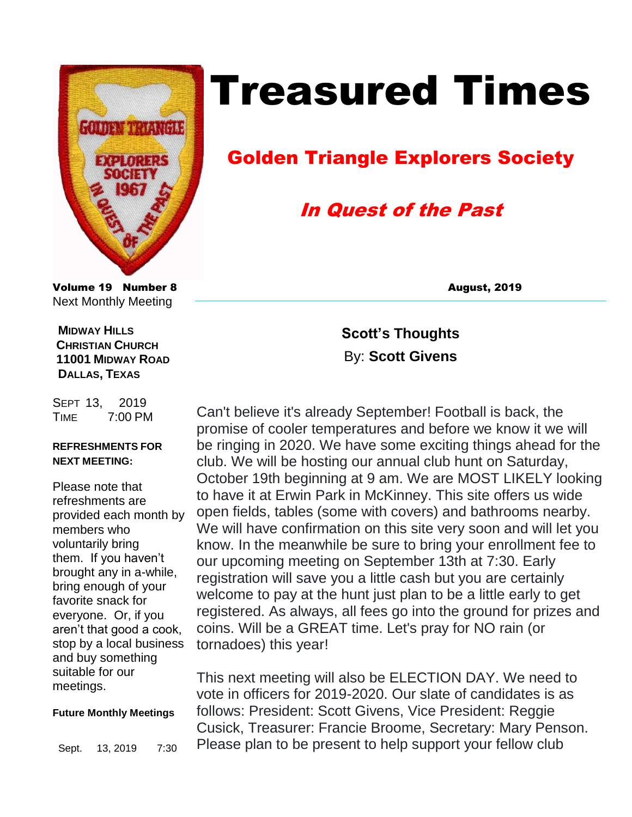

# Treasured Times

## Golden Triangle Explorers Society

## In Quest of the Past

Volume 19 Number 8 August, 2019 Next Monthly Meeting

 **MIDWAY HILLS CHRISTIAN CHURCH 11001 MIDWAY ROAD DALLAS, TEXAS**

SEPT 13, 2019 TIME 7:00 PM

#### **REFRESHMENTS FOR NEXT MEETING:**

Please note that refreshments are provided each month by members who voluntarily bring them. If you haven't brought any in a-while, bring enough of your favorite snack for everyone. Or, if you aren't that good a cook, stop by a local business and buy something suitable for our meetings.

#### **Future Monthly Meetings**

Sept. 13, 2019 7:30

**Scott's Thoughts**  By: **Scott Givens**

Can't believe it's already September! Football is back, the promise of cooler temperatures and before we know it we will be ringing in 2020. We have some exciting things ahead for the club. We will be hosting our annual club hunt on Saturday, October 19th beginning at 9 am. We are MOST LIKELY looking to have it at Erwin Park in McKinney. This site offers us wide open fields, tables (some with covers) and bathrooms nearby. We will have confirmation on this site very soon and will let you know. In the meanwhile be sure to bring your enrollment fee to our upcoming meeting on September 13th at 7:30. Early registration will save you a little cash but you are certainly welcome to pay at the hunt just plan to be a little early to get registered. As always, all fees go into the ground for prizes and coins. Will be a GREAT time. Let's pray for NO rain (or tornadoes) this year!

This next meeting will also be ELECTION DAY. We need to vote in officers for 2019-2020. Our slate of candidates is as follows: President: Scott Givens, Vice President: Reggie Cusick, Treasurer: Francie Broome, Secretary: Mary Penson. Please plan to be present to help support your fellow club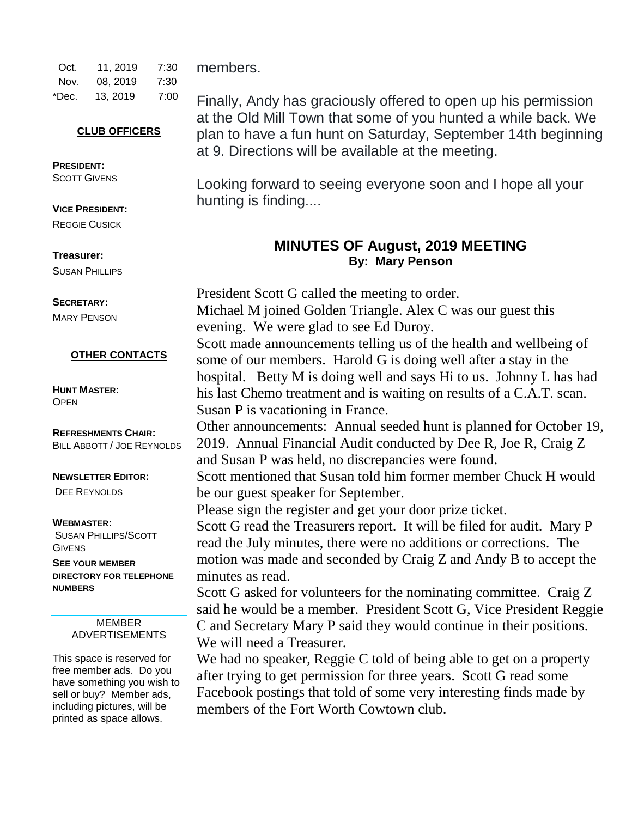| Oct.  | 11.2019  | 7:30 | m   |
|-------|----------|------|-----|
| Nov.  | 08.2019  | 7:30 |     |
| *Dec. | 13, 2019 | 7:00 | Fir |

#### **CLUB OFFICERS**

**PRESIDENT: SCOTT GIVENS** 

**VICE PRESIDENT:**  REGGIE CUSICK

**Treasurer:**  SUSAN PHILLIPS

**SECRETARY:**  MARY PENSON

**OTHER CONTACTS**

**HUNT MASTER: OPEN** 

**REFRESHMENTS CHAIR:** BILL ABBOTT / JOE REYNOLDS

#### **NEWSLETTER EDITOR:**

DEE REYNOLDS

#### **WEBMASTER:**

SUSAN PHILLIPS/SCOTT **GIVENS** 

**SEE YOUR MEMBER DIRECTORY FOR TELEPHONE NUMBERS**

> MEMBER ADVERTISEMENTS

This space is reserved for free member ads. Do you have something you wish to sell or buy? Member ads, including pictures, will be printed as space allows.

embers.

Finally, Andy has graciously offered to open up his permission at the Old Mill Town that some of you hunted a while back. We plan to have a fun hunt on Saturday, September 14th beginning at 9. Directions will be available at the meeting.

Looking forward to seeing everyone soon and I hope all your hunting is finding....

### **MINUTES OF August, 2019 MEETING By: Mary Penson**

President Scott G called the meeting to order. Michael M joined Golden Triangle. Alex C was our guest this evening. We were glad to see Ed Duroy. Scott made announcements telling us of the health and wellbeing of some of our members. Harold G is doing well after a stay in the hospital. Betty M is doing well and says Hi to us. Johnny L has had his last Chemo treatment and is waiting on results of a C.A.T. scan. Susan P is vacationing in France. Other announcements: Annual seeded hunt is planned for October 19, 2019. Annual Financial Audit conducted by Dee R, Joe R, Craig Z and Susan P was held, no discrepancies were found. Scott mentioned that Susan told him former member Chuck H would be our guest speaker for September. Please sign the register and get your door prize ticket. Scott G read the Treasurers report. It will be filed for audit. Mary P read the July minutes, there were no additions or corrections. The motion was made and seconded by Craig Z and Andy B to accept the minutes as read. Scott G asked for volunteers for the nominating committee. Craig Z said he would be a member. President Scott G, Vice President Reggie C and Secretary Mary P said they would continue in their positions. We will need a Treasurer. We had no speaker, Reggie C told of being able to get on a property after trying to get permission for three years. Scott G read some Facebook postings that told of some very interesting finds made by members of the Fort Worth Cowtown club.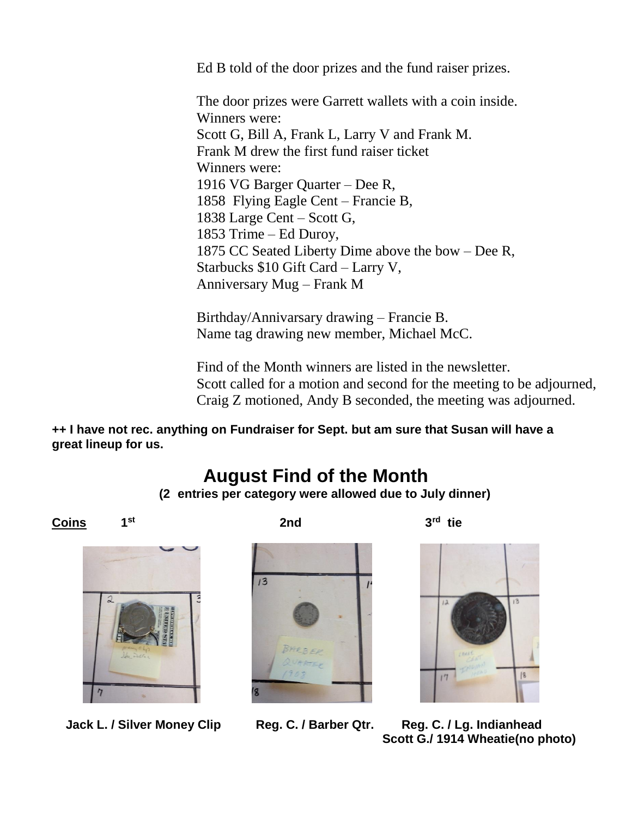Ed B told of the door prizes and the fund raiser prizes.

The door prizes were Garrett wallets with a coin inside. Winners were: Scott G, Bill A, Frank L, Larry V and Frank M. Frank M drew the first fund raiser ticket Winners were: 1916 VG Barger Quarter – Dee R, 1858 Flying Eagle Cent – Francie B, 1838 Large Cent – Scott G, 1853 Trime – Ed Duroy, 1875 CC Seated Liberty Dime above the bow – Dee R, Starbucks \$10 Gift Card – Larry V, Anniversary Mug – Frank M

Birthday/Annivarsary drawing – Francie B. Name tag drawing new member, Michael McC.

Find of the Month winners are listed in the newsletter. Scott called for a motion and second for the meeting to be adjourned, Craig Z motioned, Andy B seconded, the meeting was adjourned.

**++ I have not rec. anything on Fundraiser for Sept. but am sure that Susan will have a great lineup for us.** 

### **August Find of the Month**

**(2 entries per category were allowed due to July dinner)**

**Coins 1**

**2nd** 3<sup>*rd*</sup>



**st**

 **Jack L. / Silver Money Clip Reg. C. / Barber Qtr. Reg. C. / Lg. Indianhead**





 $3^{\text{rd}}$  tie



 **Scott G./ 1914 Wheatie(no photo)**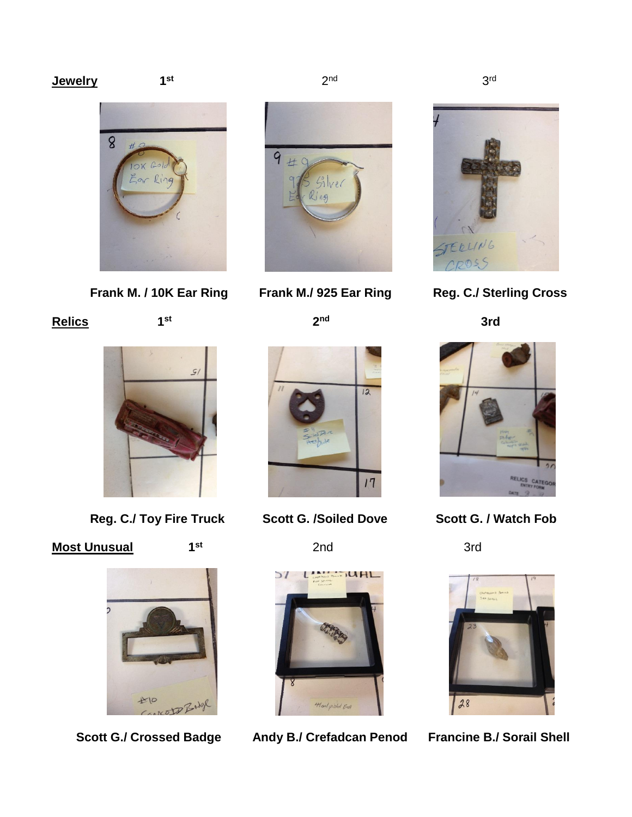#### **Jewelry**

**st**







 $2<sup>nd</sup>$ 

**2 nd**



 **Frank M. / 10K Ear Ring Frank M./ 925 Ear Ring Reg. C./ Sterling Cross**

 **3rd**





**Relics 1**

**st**



 **Reg. C./ Toy Fire Truck Scott G. /Soiled Dove Scott G. / Watch Fob**

**st**

### **Most Unusual**





**2nd** 3rd



Scott G./ Crossed Badge Andy B./ Crefadcan Penod Francine B./ Sorail Shell

 3  $3<sup>rd</sup>$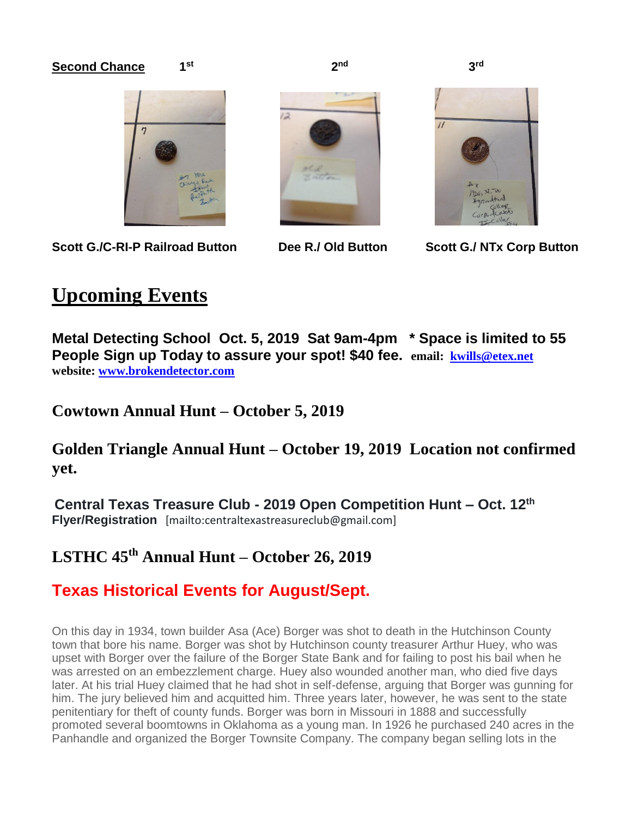#### **Second Chance**

**st**



Scott G./C-RI-P Railroad Button **Dee R./ Old Button Scott G./ NTx Corp Button** 





3rd

### **Upcoming Events**

**Metal Detecting School Oct. 5, 2019 Sat 9am-4pm \* Space is limited to 55 People Sign up Today to assure your spot! \$40 fee. email: [kwills@etex.net](mailto:kwills@etex.net)  website: [www.brokendetector.com](http://www.brokendetector.com/)**

**Cowtown Annual Hunt – October 5, 2019**

### **Golden Triangle Annual Hunt – October 19, 2019 Location not confirmed yet.**

**Central Texas Treasure Club - 2019 Open Competition Hunt – Oct. 12th Flyer/Registration** [mailto:centraltexastreasureclub@gmail.com]

### **LSTHC 45th Annual Hunt – October 26, 2019**

### **Texas Historical Events for August/Sept.**

On this day in 1934, town builder Asa (Ace) Borger was shot to death in the Hutchinson County town that bore his name. Borger was shot by Hutchinson county treasurer Arthur Huey, who was upset with Borger over the failure of the Borger State Bank and for failing to post his bail when he was arrested on an embezzlement charge. Huey also wounded another man, who died five days later. At his trial Huey claimed that he had shot in self-defense, arguing that Borger was gunning for him. The jury believed him and acquitted him. Three years later, however, he was sent to the state penitentiary for theft of county funds. Borger was born in Missouri in 1888 and successfully promoted several boomtowns in Oklahoma as a young man. In 1926 he purchased 240 acres in the Panhandle and organized the Borger Townsite Company. The company began selling lots in the

 **2 nd 3 3 3**